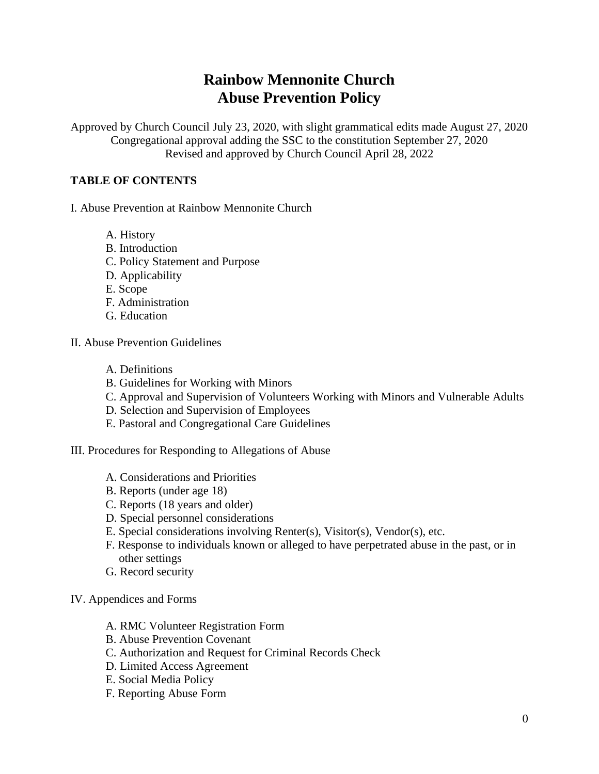# **Rainbow Mennonite Church Abuse Prevention Policy**

Approved by Church Council July 23, 2020, with slight grammatical edits made August 27, 2020 Congregational approval adding the SSC to the constitution September 27, 2020 Revised and approved by Church Council April 28, 2022

## **TABLE OF CONTENTS**

- I. Abuse Prevention at Rainbow Mennonite Church
	- A. History
	- B. Introduction
	- C. Policy Statement and Purpose
	- D. Applicability
	- E. Scope
	- F. Administration
	- G. Education
- II. Abuse Prevention Guidelines
	- A. Definitions
	- B. Guidelines for Working with Minors
	- C. Approval and Supervision of Volunteers Working with Minors and Vulnerable Adults
	- D. Selection and Supervision of Employees
	- E. Pastoral and Congregational Care Guidelines
- III. Procedures for Responding to Allegations of Abuse
	- A. Considerations and Priorities
	- B. Reports (under age 18)
	- C. Reports (18 years and older)
	- D. Special personnel considerations
	- E. Special considerations involving Renter(s), Visitor(s), Vendor(s), etc.
	- F. Response to individuals known or alleged to have perpetrated abuse in the past, or in other settings
	- G. Record security
- IV. Appendices and Forms
	- A. RMC Volunteer Registration Form
	- B. Abuse Prevention Covenant
	- C. Authorization and Request for Criminal Records Check
	- D. Limited Access Agreement
	- E. Social Media Policy
	- F. Reporting Abuse Form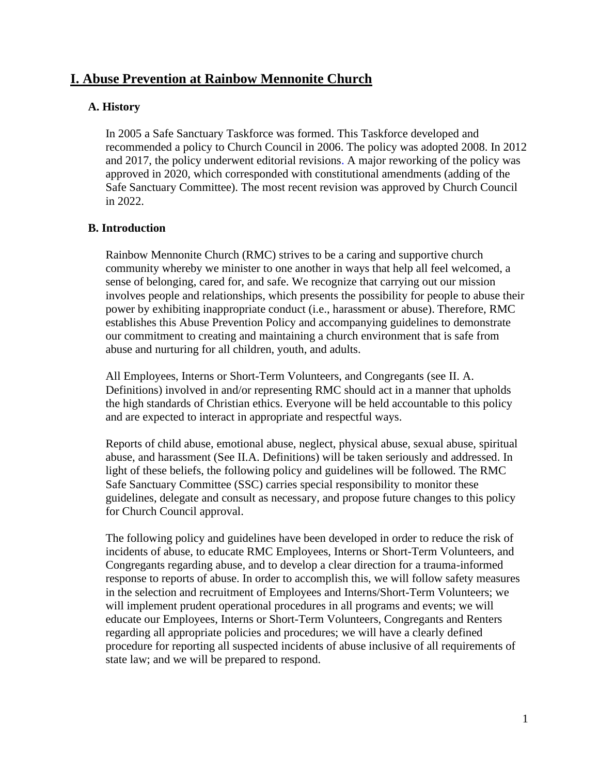# **I. Abuse Prevention at Rainbow Mennonite Church**

#### **A. History**

In 2005 a Safe Sanctuary Taskforce was formed. This Taskforce developed and recommended a policy to Church Council in 2006. The policy was adopted 2008. In 2012 and 2017, the policy underwent editorial revisions. A major reworking of the policy was approved in 2020, which corresponded with constitutional amendments (adding of the Safe Sanctuary Committee). The most recent revision was approved by Church Council in 2022.

#### **B. Introduction**

Rainbow Mennonite Church (RMC) strives to be a caring and supportive church community whereby we minister to one another in ways that help all feel welcomed, a sense of belonging, cared for, and safe. We recognize that carrying out our mission involves people and relationships, which presents the possibility for people to abuse their power by exhibiting inappropriate conduct (i.e., harassment or abuse). Therefore, RMC establishes this Abuse Prevention Policy and accompanying guidelines to demonstrate our commitment to creating and maintaining a church environment that is safe from abuse and nurturing for all children, youth, and adults.

All Employees, Interns or Short-Term Volunteers, and Congregants (see II. A. Definitions) involved in and/or representing RMC should act in a manner that upholds the high standards of Christian ethics. Everyone will be held accountable to this policy and are expected to interact in appropriate and respectful ways.

Reports of child abuse, emotional abuse, neglect, physical abuse, sexual abuse, spiritual abuse, and harassment (See II.A. Definitions) will be taken seriously and addressed. In light of these beliefs, the following policy and guidelines will be followed. The RMC Safe Sanctuary Committee (SSC) carries special responsibility to monitor these guidelines, delegate and consult as necessary, and propose future changes to this policy for Church Council approval.

The following policy and guidelines have been developed in order to reduce the risk of incidents of abuse, to educate RMC Employees, Interns or Short-Term Volunteers, and Congregants regarding abuse, and to develop a clear direction for a trauma-informed response to reports of abuse. In order to accomplish this, we will follow safety measures in the selection and recruitment of Employees and Interns/Short-Term Volunteers; we will implement prudent operational procedures in all programs and events; we will educate our Employees, Interns or Short-Term Volunteers, Congregants and Renters regarding all appropriate policies and procedures; we will have a clearly defined procedure for reporting all suspected incidents of abuse inclusive of all requirements of state law; and we will be prepared to respond.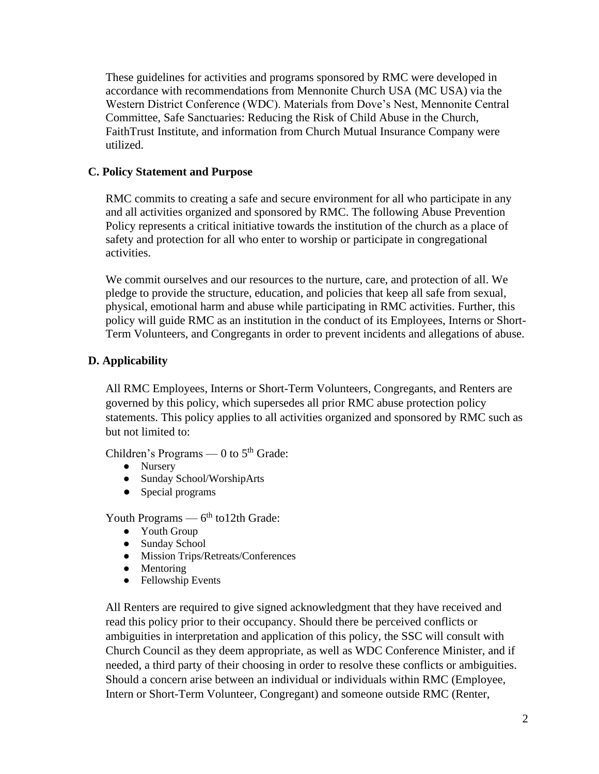These guidelines for activities and programs sponsored by RMC were developed in accordance with recommendations from Mennonite Church USA (MC USA) via the Western District Conference (WDC). Materials from Dove's Nest, Mennonite Central Committee, Safe Sanctuaries: Reducing the Risk of Child Abuse in the Church, FaithTrust Institute, and information from Church Mutual Insurance Company were utilized.

# **C. Policy Statement and Purpose**

RMC commits to creating a safe and secure environment for all who participate in any and all activities organized and sponsored by RMC. The following Abuse Prevention Policy represents a critical initiative towards the institution of the church as a place of safety and protection for all who enter to worship or participate in congregational activities.

We commit ourselves and our resources to the nurture, care, and protection of all. We pledge to provide the structure, education, and policies that keep all safe from sexual, physical, emotional harm and abuse while participating in RMC activities. Further, this policy will guide RMC as an institution in the conduct of its Employees, Interns or Short-Term Volunteers, and Congregants in order to prevent incidents and allegations of abuse.

# **D. Applicability**

All RMC Employees, Interns or Short-Term Volunteers, Congregants, and Renters are governed by this policy, which supersedes all prior RMC abuse protection policy statements. This policy applies to all activities organized and sponsored by RMC such as but not limited to:

Children's Programs — 0 to  $5<sup>th</sup>$  Grade:

- Nursery
- Sunday School/WorshipArts
- Special programs

Youth Programs  $-6<sup>th</sup>$  to 12th Grade:

- Youth Group
- Sunday School
- Mission Trips/Retreats/Conferences
- Mentoring
- Fellowship Events

All Renters are required to give signed acknowledgment that they have received and read this policy prior to their occupancy. Should there be perceived conflicts or ambiguities in interpretation and application of this policy, the SSC will consult with Church Council as they deem appropriate, as well as WDC Conference Minister, and if needed, a third party of their choosing in order to resolve these conflicts or ambiguities. Should a concern arise between an individual or individuals within RMC (Employee, Intern or Short-Term Volunteer, Congregant) and someone outside RMC (Renter,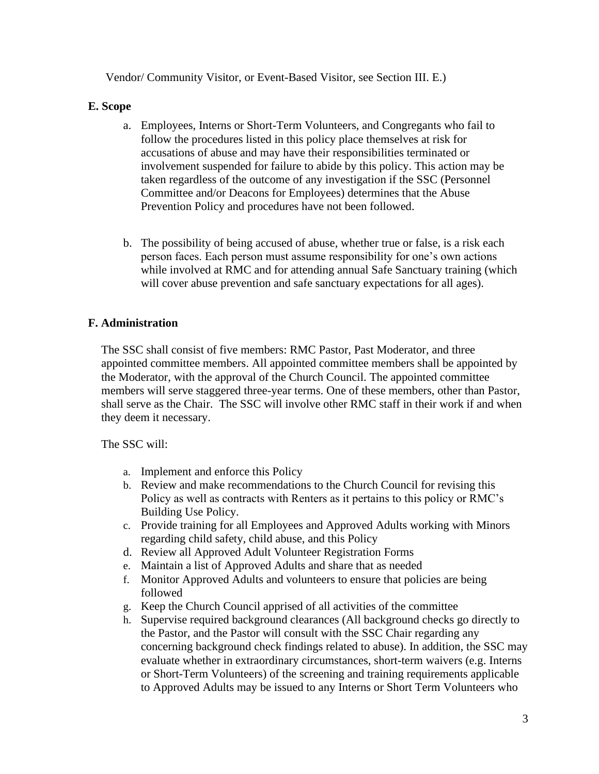Vendor/ Community Visitor, or Event-Based Visitor, see Section III. E.)

# **E. Scope**

- a. Employees, Interns or Short-Term Volunteers, and Congregants who fail to follow the procedures listed in this policy place themselves at risk for accusations of abuse and may have their responsibilities terminated or involvement suspended for failure to abide by this policy. This action may be taken regardless of the outcome of any investigation if the SSC (Personnel Committee and/or Deacons for Employees) determines that the Abuse Prevention Policy and procedures have not been followed.
- b. The possibility of being accused of abuse, whether true or false, is a risk each person faces. Each person must assume responsibility for one's own actions while involved at RMC and for attending annual Safe Sanctuary training (which will cover abuse prevention and safe sanctuary expectations for all ages).

# **F. Administration**

The SSC shall consist of five members: RMC Pastor, Past Moderator, and three appointed committee members. All appointed committee members shall be appointed by the Moderator, with the approval of the Church Council. The appointed committee members will serve staggered three-year terms. One of these members, other than Pastor, shall serve as the Chair. The SSC will involve other RMC staff in their work if and when they deem it necessary.

The SSC will:

- a. Implement and enforce this Policy
- b. Review and make recommendations to the Church Council for revising this Policy as well as contracts with Renters as it pertains to this policy or RMC's Building Use Policy.
- c. Provide training for all Employees and Approved Adults working with Minors regarding child safety, child abuse, and this Policy
- d. Review all Approved Adult Volunteer Registration Forms
- e. Maintain a list of Approved Adults and share that as needed
- f. Monitor Approved Adults and volunteers to ensure that policies are being followed
- g. Keep the Church Council apprised of all activities of the committee
- h. Supervise required background clearances (All background checks go directly to the Pastor, and the Pastor will consult with the SSC Chair regarding any concerning background check findings related to abuse). In addition, the SSC may evaluate whether in extraordinary circumstances, short-term waivers (e.g. Interns or Short-Term Volunteers) of the screening and training requirements applicable to Approved Adults may be issued to any Interns or Short Term Volunteers who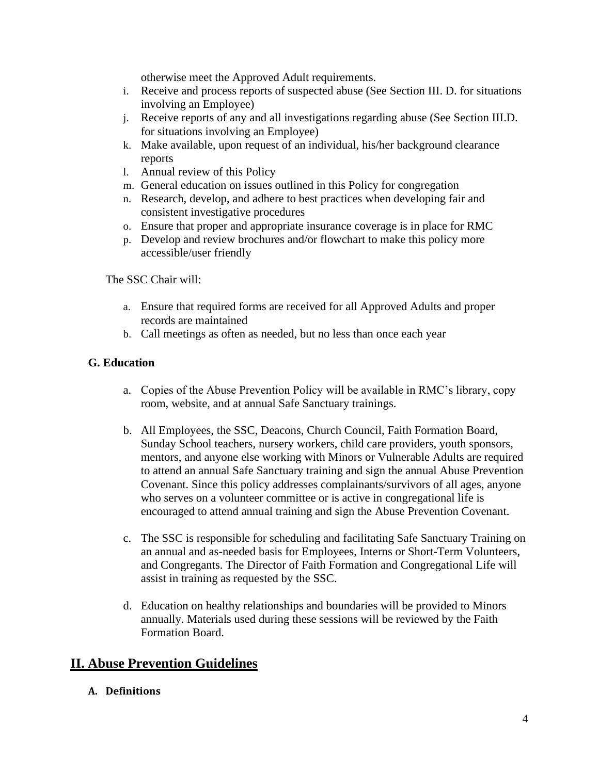otherwise meet the Approved Adult requirements.

- i. Receive and process reports of suspected abuse (See Section III. D. for situations involving an Employee)
- j. Receive reports of any and all investigations regarding abuse (See Section III.D. for situations involving an Employee)
- k. Make available, upon request of an individual, his/her background clearance reports
- l. Annual review of this Policy
- m. General education on issues outlined in this Policy for congregation
- n. Research, develop, and adhere to best practices when developing fair and consistent investigative procedures
- o. Ensure that proper and appropriate insurance coverage is in place for RMC
- p. Develop and review brochures and/or flowchart to make this policy more accessible/user friendly

The SSC Chair will:

- a. Ensure that required forms are received for all Approved Adults and proper records are maintained
- b. Call meetings as often as needed, but no less than once each year

# **G. Education**

- a. Copies of the Abuse Prevention Policy will be available in RMC's library, copy room, website, and at annual Safe Sanctuary trainings.
- b. All Employees, the SSC, Deacons, Church Council, Faith Formation Board, Sunday School teachers, nursery workers, child care providers, youth sponsors, mentors, and anyone else working with Minors or Vulnerable Adults are required to attend an annual Safe Sanctuary training and sign the annual Abuse Prevention Covenant. Since this policy addresses complainants/survivors of all ages, anyone who serves on a volunteer committee or is active in congregational life is encouraged to attend annual training and sign the Abuse Prevention Covenant.
- c. The SSC is responsible for scheduling and facilitating Safe Sanctuary Training on an annual and as-needed basis for Employees, Interns or Short-Term Volunteers, and Congregants. The Director of Faith Formation and Congregational Life will assist in training as requested by the SSC.
- d. Education on healthy relationships and boundaries will be provided to Minors annually. Materials used during these sessions will be reviewed by the Faith Formation Board.

# **II. Abuse Prevention Guidelines**

**A. Definitions**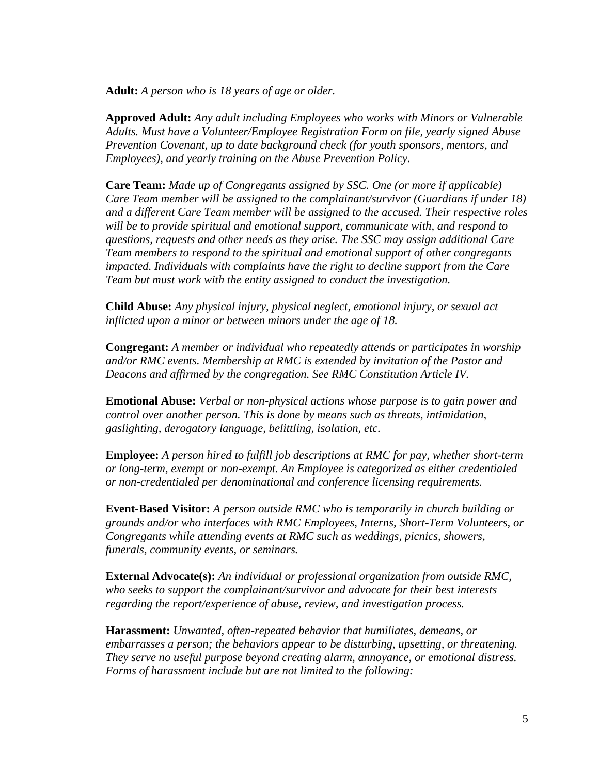**Adult:** *A person who is 18 years of age or older.*

**Approved Adult:** *Any adult including Employees who works with Minors or Vulnerable Adults. Must have a Volunteer/Employee Registration Form on file, yearly signed Abuse Prevention Covenant, up to date background check (for youth sponsors, mentors, and Employees), and yearly training on the Abuse Prevention Policy.*

**Care Team:** *Made up of Congregants assigned by SSC. One (or more if applicable) Care Team member will be assigned to the complainant/survivor (Guardians if under 18) and a different Care Team member will be assigned to the accused. Their respective roles will be to provide spiritual and emotional support, communicate with, and respond to questions, requests and other needs as they arise. The SSC may assign additional Care Team members to respond to the spiritual and emotional support of other congregants impacted. Individuals with complaints have the right to decline support from the Care Team but must work with the entity assigned to conduct the investigation.*

**Child Abuse:** *Any physical injury, physical neglect, emotional injury, or sexual act inflicted upon a minor or between minors under the age of 18.* 

**Congregant:** *A member or individual who repeatedly attends or participates in worship and/or RMC events. Membership at RMC is extended by invitation of the Pastor and Deacons and affirmed by the congregation. See RMC Constitution Article IV.*

**Emotional Abuse:** *Verbal or non-physical actions whose purpose is to gain power and control over another person. This is done by means such as threats, intimidation, gaslighting, derogatory language, belittling, isolation, etc.*

**Employee:** *A person hired to fulfill job descriptions at RMC for pay, whether short-term or long-term, exempt or non-exempt. An Employee is categorized as either credentialed or non-credentialed per denominational and conference licensing requirements.* 

**Event-Based Visitor:** *A person outside RMC who is temporarily in church building or grounds and/or who interfaces with RMC Employees, Interns, Short-Term Volunteers, or Congregants while attending events at RMC such as weddings, picnics, showers, funerals, community events, or seminars.* 

**External Advocate(s):** *An individual or professional organization from outside RMC, who seeks to support the complainant/survivor and advocate for their best interests regarding the report/experience of abuse, review, and investigation process.* 

**Harassment:** *Unwanted, often-repeated behavior that humiliates, demeans, or embarrasses a person; the behaviors appear to be disturbing, upsetting, or threatening. They serve no useful purpose beyond creating alarm, annoyance, or emotional distress. Forms of harassment include but are not limited to the following:*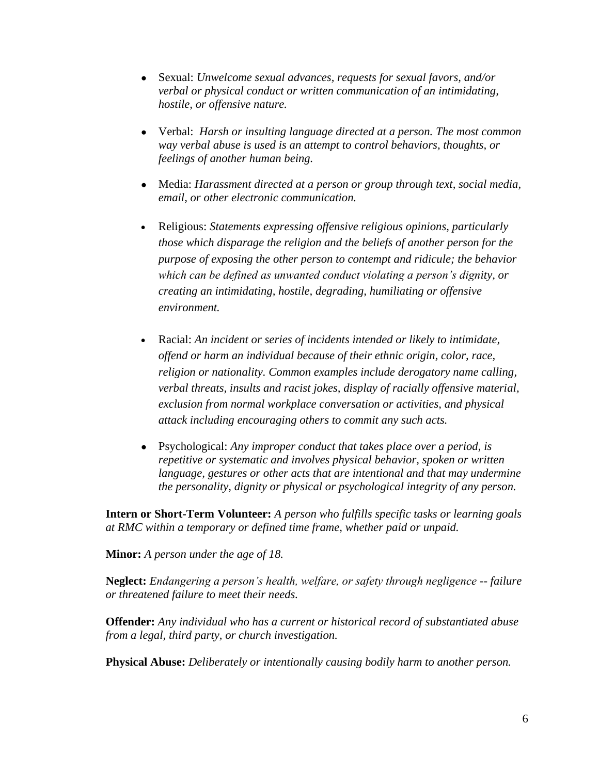- Sexual: *Unwelcome sexual advances, requests for sexual favors, and/or verbal or physical conduct or written communication of an intimidating, hostile, or offensive nature.*
- Verbal: *Harsh or insulting language directed at a person. The most common way verbal abuse is used is an attempt to control behaviors, thoughts, or feelings of another human being.*
- Media: *Harassment directed at a person or group through text, social media, email, or other electronic communication.*
- Religious: *Statements expressing offensive religious opinions, particularly those which disparage the religion and the beliefs of another person for the purpose of exposing the other person to contempt and ridicule; the behavior which can be defined as unwanted conduct violating a person's dignity, or creating an intimidating, hostile, degrading, humiliating or offensive environment.*
- Racial: *An incident or series of incidents intended or likely to intimidate, offend or harm an individual because of their ethnic origin, color, race, religion or nationality. Common examples include derogatory name calling, verbal threats, insults and racist jokes, display of racially offensive material, exclusion from normal workplace conversation or activities, and physical attack including encouraging others to commit any such acts.*
- Psychological: *Any improper conduct that takes place over a period, is repetitive or systematic and involves physical behavior, spoken or written language, gestures or other acts that are intentional and that may undermine the personality, dignity or physical or psychological integrity of any person.*

**Intern or Short-Term Volunteer:** *A person who fulfills specific tasks or learning goals at RMC within a temporary or defined time frame, whether paid or unpaid.* 

**Minor:** *A person under the age of 18.* 

**Neglect:** *Endangering a person's health, welfare, or safety through negligence -- failure or threatened failure to meet their needs.*

**Offender:** *Any individual who has a current or historical record of substantiated abuse from a legal, third party, or church investigation.*

**Physical Abuse:** *Deliberately or intentionally causing bodily harm to another person.*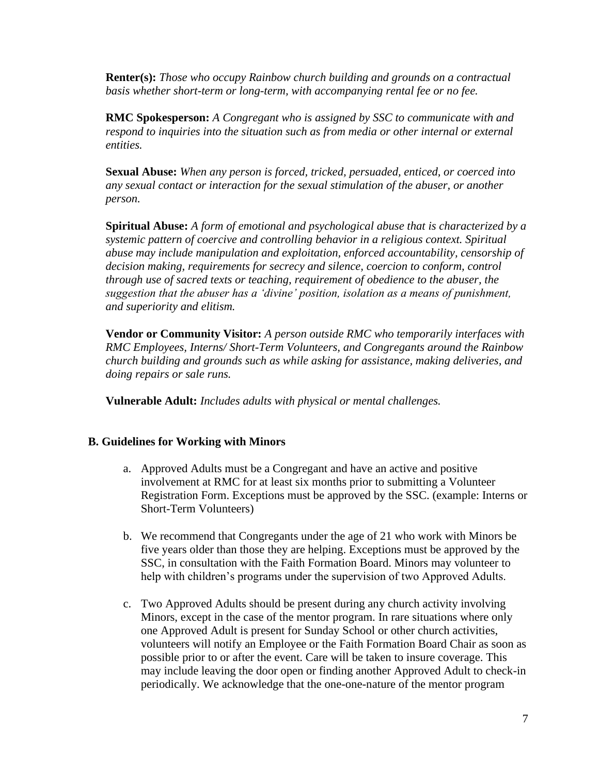**Renter(s):** *Those who occupy Rainbow church building and grounds on a contractual basis whether short-term or long-term, with accompanying rental fee or no fee.*

**RMC Spokesperson:** *A Congregant who is assigned by SSC to communicate with and respond to inquiries into the situation such as from media or other internal or external entities.*

**Sexual Abuse:** *When any person is forced, tricked, persuaded, enticed, or coerced into any sexual contact or interaction for the sexual stimulation of the abuser, or another person.*

**Spiritual Abuse:** *A form of emotional and psychological abuse that is characterized by a systemic pattern of coercive and controlling behavior in a religious context. Spiritual abuse may include manipulation and exploitation, enforced accountability, censorship of decision making, requirements for secrecy and silence, coercion to conform, control through use of sacred texts or teaching, requirement of obedience to the abuser, the suggestion that the abuser has a 'divine' position, isolation as a means of punishment, and superiority and elitism.* 

**Vendor or Community Visitor:** *A person outside RMC who temporarily interfaces with RMC Employees, Interns/ Short-Term Volunteers, and Congregants around the Rainbow church building and grounds such as while asking for assistance, making deliveries, and doing repairs or sale runs.* 

**Vulnerable Adult:** *Includes adults with physical or mental challenges.*

# **B. Guidelines for Working with Minors**

- a. Approved Adults must be a Congregant and have an active and positive involvement at RMC for at least six months prior to submitting a Volunteer Registration Form. Exceptions must be approved by the SSC. (example: Interns or Short-Term Volunteers)
- b. We recommend that Congregants under the age of 21 who work with Minors be five years older than those they are helping. Exceptions must be approved by the SSC, in consultation with the Faith Formation Board. Minors may volunteer to help with children's programs under the supervision of two Approved Adults.
- c. Two Approved Adults should be present during any church activity involving Minors, except in the case of the mentor program. In rare situations where only one Approved Adult is present for Sunday School or other church activities, volunteers will notify an Employee or the Faith Formation Board Chair as soon as possible prior to or after the event. Care will be taken to insure coverage. This may include leaving the door open or finding another Approved Adult to check-in periodically. We acknowledge that the one-one-nature of the mentor program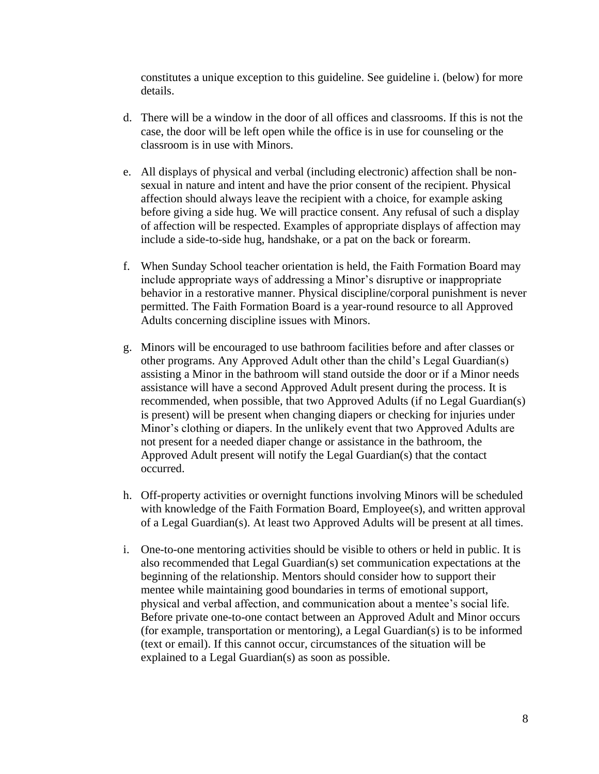constitutes a unique exception to this guideline. See guideline i. (below) for more details.

- d. There will be a window in the door of all offices and classrooms. If this is not the case, the door will be left open while the office is in use for counseling or the classroom is in use with Minors.
- e. All displays of physical and verbal (including electronic) affection shall be nonsexual in nature and intent and have the prior consent of the recipient. Physical affection should always leave the recipient with a choice, for example asking before giving a side hug. We will practice consent. Any refusal of such a display of affection will be respected. Examples of appropriate displays of affection may include a side-to-side hug, handshake, or a pat on the back or forearm.
- f. When Sunday School teacher orientation is held, the Faith Formation Board may include appropriate ways of addressing a Minor's disruptive or inappropriate behavior in a restorative manner. Physical discipline/corporal punishment is never permitted. The Faith Formation Board is a year-round resource to all Approved Adults concerning discipline issues with Minors.
- g. Minors will be encouraged to use bathroom facilities before and after classes or other programs. Any Approved Adult other than the child's Legal Guardian(s) assisting a Minor in the bathroom will stand outside the door or if a Minor needs assistance will have a second Approved Adult present during the process. It is recommended, when possible, that two Approved Adults (if no Legal Guardian(s) is present) will be present when changing diapers or checking for injuries under Minor's clothing or diapers. In the unlikely event that two Approved Adults are not present for a needed diaper change or assistance in the bathroom, the Approved Adult present will notify the Legal Guardian(s) that the contact occurred.
- h. Off-property activities or overnight functions involving Minors will be scheduled with knowledge of the Faith Formation Board, Employee(s), and written approval of a Legal Guardian(s). At least two Approved Adults will be present at all times.
- i. One-to-one mentoring activities should be visible to others or held in public. It is also recommended that Legal Guardian(s) set communication expectations at the beginning of the relationship. Mentors should consider how to support their mentee while maintaining good boundaries in terms of emotional support, physical and verbal affection, and communication about a mentee's social life. Before private one-to-one contact between an Approved Adult and Minor occurs (for example, transportation or mentoring), a Legal Guardian(s) is to be informed (text or email). If this cannot occur, circumstances of the situation will be explained to a Legal Guardian(s) as soon as possible.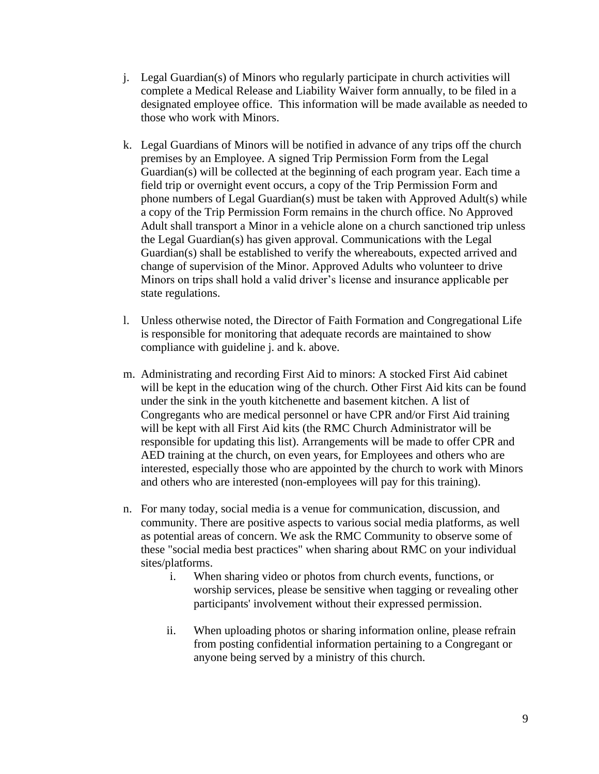- j. Legal Guardian(s) of Minors who regularly participate in church activities will complete a Medical Release and Liability Waiver form annually, to be filed in a designated employee office. This information will be made available as needed to those who work with Minors.
- k. Legal Guardians of Minors will be notified in advance of any trips off the church premises by an Employee. A signed Trip Permission Form from the Legal Guardian(s) will be collected at the beginning of each program year. Each time a field trip or overnight event occurs, a copy of the Trip Permission Form and phone numbers of Legal Guardian(s) must be taken with Approved Adult(s) while a copy of the Trip Permission Form remains in the church office. No Approved Adult shall transport a Minor in a vehicle alone on a church sanctioned trip unless the Legal Guardian(s) has given approval. Communications with the Legal Guardian(s) shall be established to verify the whereabouts, expected arrived and change of supervision of the Minor. Approved Adults who volunteer to drive Minors on trips shall hold a valid driver's license and insurance applicable per state regulations.
- l. Unless otherwise noted, the Director of Faith Formation and Congregational Life is responsible for monitoring that adequate records are maintained to show compliance with guideline j. and k. above.
- m. Administrating and recording First Aid to minors: A stocked First Aid cabinet will be kept in the education wing of the church. Other First Aid kits can be found under the sink in the youth kitchenette and basement kitchen. A list of Congregants who are medical personnel or have CPR and/or First Aid training will be kept with all First Aid kits (the RMC Church Administrator will be responsible for updating this list). Arrangements will be made to offer CPR and AED training at the church, on even years, for Employees and others who are interested, especially those who are appointed by the church to work with Minors and others who are interested (non-employees will pay for this training).
- n. For many today, social media is a venue for communication, discussion, and community. There are positive aspects to various social media platforms, as well as potential areas of concern. We ask the RMC Community to observe some of these "social media best practices" when sharing about RMC on your individual sites/platforms.
	- i. When sharing video or photos from church events, functions, or worship services, please be sensitive when tagging or revealing other participants' involvement without their expressed permission.
	- ii. When uploading photos or sharing information online, please refrain from posting confidential information pertaining to a Congregant or anyone being served by a ministry of this church.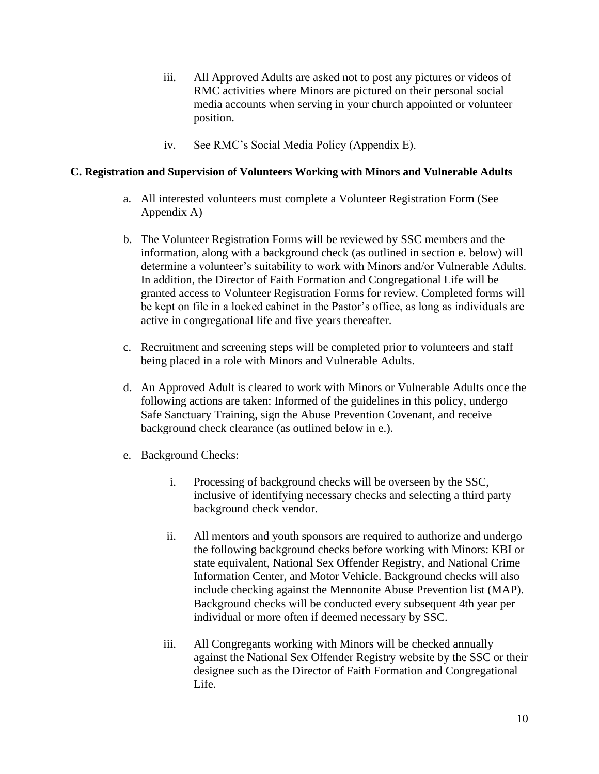- iii. All Approved Adults are asked not to post any pictures or videos of RMC activities where Minors are pictured on their personal social media accounts when serving in your church appointed or volunteer position.
- iv. See RMC's Social Media Policy (Appendix E).

#### **C. Registration and Supervision of Volunteers Working with Minors and Vulnerable Adults**

- a. All interested volunteers must complete a Volunteer Registration Form (See Appendix A)
- b. The Volunteer Registration Forms will be reviewed by SSC members and the information, along with a background check (as outlined in section e. below) will determine a volunteer's suitability to work with Minors and/or Vulnerable Adults. In addition, the Director of Faith Formation and Congregational Life will be granted access to Volunteer Registration Forms for review. Completed forms will be kept on file in a locked cabinet in the Pastor's office, as long as individuals are active in congregational life and five years thereafter.
- c. Recruitment and screening steps will be completed prior to volunteers and staff being placed in a role with Minors and Vulnerable Adults.
- d. An Approved Adult is cleared to work with Minors or Vulnerable Adults once the following actions are taken: Informed of the guidelines in this policy, undergo Safe Sanctuary Training, sign the Abuse Prevention Covenant, and receive background check clearance (as outlined below in e.).
- e. Background Checks:
	- i. Processing of background checks will be overseen by the SSC, inclusive of identifying necessary checks and selecting a third party background check vendor.
	- ii. All mentors and youth sponsors are required to authorize and undergo the following background checks before working with Minors: KBI or state equivalent, National Sex Offender Registry, and National Crime Information Center, and Motor Vehicle. Background checks will also include checking against the Mennonite Abuse Prevention list (MAP). Background checks will be conducted every subsequent 4th year per individual or more often if deemed necessary by SSC.
	- iii. All Congregants working with Minors will be checked annually against the National Sex Offender Registry website by the SSC or their designee such as the Director of Faith Formation and Congregational Life.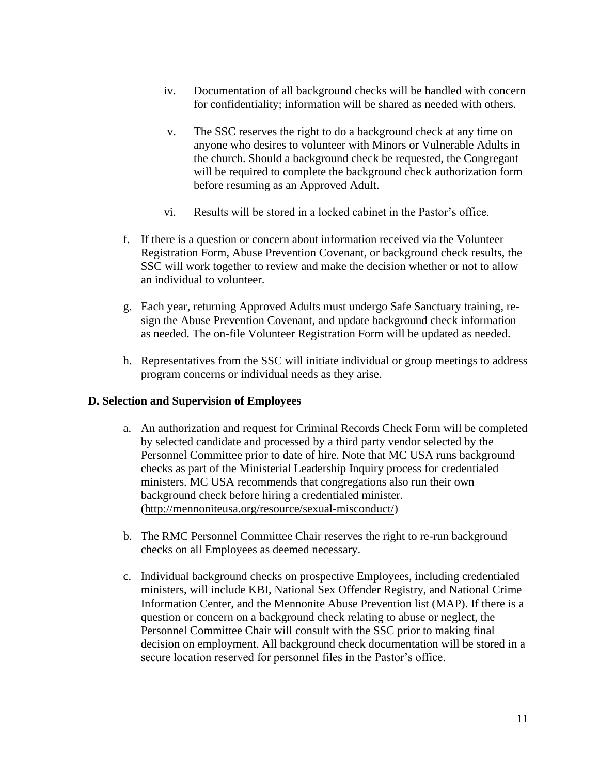- iv. Documentation of all background checks will be handled with concern for confidentiality; information will be shared as needed with others.
- v. The SSC reserves the right to do a background check at any time on anyone who desires to volunteer with Minors or Vulnerable Adults in the church. Should a background check be requested, the Congregant will be required to complete the background check authorization form before resuming as an Approved Adult.
- vi. Results will be stored in a locked cabinet in the Pastor's office.
- f. If there is a question or concern about information received via the Volunteer Registration Form, Abuse Prevention Covenant, or background check results, the SSC will work together to review and make the decision whether or not to allow an individual to volunteer.
- g. Each year, returning Approved Adults must undergo Safe Sanctuary training, resign the Abuse Prevention Covenant, and update background check information as needed. The on-file Volunteer Registration Form will be updated as needed.
- h. Representatives from the SSC will initiate individual or group meetings to address program concerns or individual needs as they arise.

#### **D. Selection and Supervision of Employees**

- a. An authorization and request for Criminal Records Check Form will be completed by selected candidate and processed by a third party vendor selected by the Personnel Committee prior to date of hire. Note that MC USA runs background checks as part of the Ministerial Leadership Inquiry process for credentialed ministers. MC USA recommends that congregations also run their own background check before hiring a credentialed minister. [\(http://mennoniteusa.org/resource/sexual-misconduct/\)](http://mennoniteusa.org/resource/sexual-misconduct/)
- b. The RMC Personnel Committee Chair reserves the right to re-run background checks on all Employees as deemed necessary.
- c. Individual background checks on prospective Employees, including credentialed ministers, will include KBI, National Sex Offender Registry, and National Crime Information Center, and the Mennonite Abuse Prevention list (MAP). If there is a question or concern on a background check relating to abuse or neglect, the Personnel Committee Chair will consult with the SSC prior to making final decision on employment. All background check documentation will be stored in a secure location reserved for personnel files in the Pastor's office.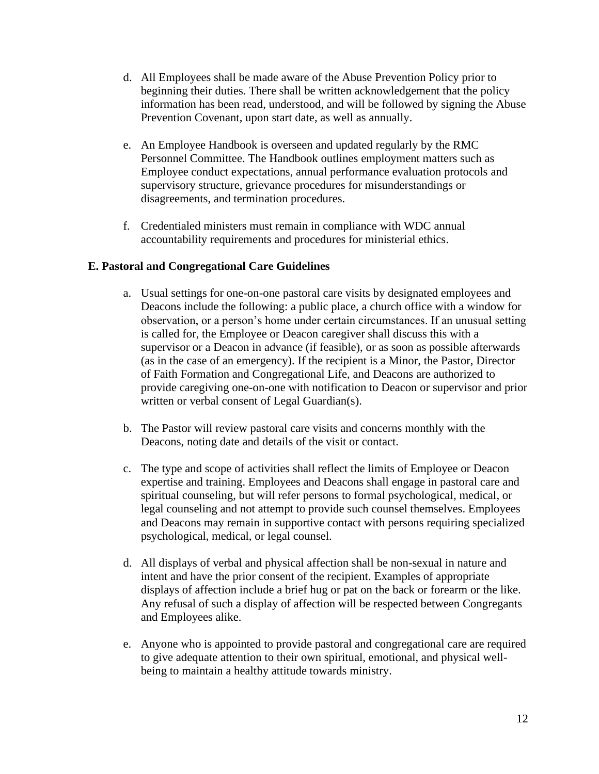- d. All Employees shall be made aware of the Abuse Prevention Policy prior to beginning their duties. There shall be written acknowledgement that the policy information has been read, understood, and will be followed by signing the Abuse Prevention Covenant, upon start date, as well as annually.
- e. An Employee Handbook is overseen and updated regularly by the RMC Personnel Committee. The Handbook outlines employment matters such as Employee conduct expectations, annual performance evaluation protocols and supervisory structure, grievance procedures for misunderstandings or disagreements, and termination procedures.
- f. Credentialed ministers must remain in compliance with WDC annual accountability requirements and procedures for ministerial ethics.

# **E. Pastoral and Congregational Care Guidelines**

- a. Usual settings for one-on-one pastoral care visits by designated employees and Deacons include the following: a public place, a church office with a window for observation, or a person's home under certain circumstances. If an unusual setting is called for, the Employee or Deacon caregiver shall discuss this with a supervisor or a Deacon in advance (if feasible), or as soon as possible afterwards (as in the case of an emergency). If the recipient is a Minor, the Pastor, Director of Faith Formation and Congregational Life, and Deacons are authorized to provide caregiving one-on-one with notification to Deacon or supervisor and prior written or verbal consent of Legal Guardian(s).
- b. The Pastor will review pastoral care visits and concerns monthly with the Deacons, noting date and details of the visit or contact.
- c. The type and scope of activities shall reflect the limits of Employee or Deacon expertise and training. Employees and Deacons shall engage in pastoral care and spiritual counseling, but will refer persons to formal psychological, medical, or legal counseling and not attempt to provide such counsel themselves. Employees and Deacons may remain in supportive contact with persons requiring specialized psychological, medical, or legal counsel.
- d. All displays of verbal and physical affection shall be non-sexual in nature and intent and have the prior consent of the recipient. Examples of appropriate displays of affection include a brief hug or pat on the back or forearm or the like. Any refusal of such a display of affection will be respected between Congregants and Employees alike.
- e. Anyone who is appointed to provide pastoral and congregational care are required to give adequate attention to their own spiritual, emotional, and physical wellbeing to maintain a healthy attitude towards ministry.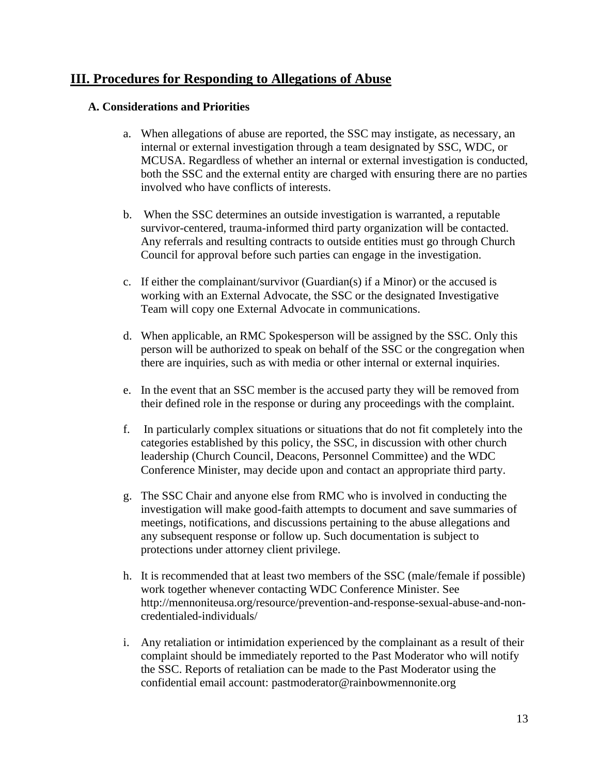# **III. Procedures for Responding to Allegations of Abuse**

#### **A. Considerations and Priorities**

- a. When allegations of abuse are reported, the SSC may instigate, as necessary, an internal or external investigation through a team designated by SSC, WDC, or MCUSA. Regardless of whether an internal or external investigation is conducted, both the SSC and the external entity are charged with ensuring there are no parties involved who have conflicts of interests.
- b. When the SSC determines an outside investigation is warranted, a reputable survivor-centered, trauma-informed third party organization will be contacted. Any referrals and resulting contracts to outside entities must go through Church Council for approval before such parties can engage in the investigation.
- c. If either the complainant/survivor (Guardian(s) if a Minor) or the accused is working with an External Advocate, the SSC or the designated Investigative Team will copy one External Advocate in communications.
- d. When applicable, an RMC Spokesperson will be assigned by the SSC. Only this person will be authorized to speak on behalf of the SSC or the congregation when there are inquiries, such as with media or other internal or external inquiries.
- e. In the event that an SSC member is the accused party they will be removed from their defined role in the response or during any proceedings with the complaint.
- f. In particularly complex situations or situations that do not fit completely into the categories established by this policy, the SSC, in discussion with other church leadership (Church Council, Deacons, Personnel Committee) and the WDC Conference Minister, may decide upon and contact an appropriate third party.
- g. The SSC Chair and anyone else from RMC who is involved in conducting the investigation will make good-faith attempts to document and save summaries of meetings, notifications, and discussions pertaining to the abuse allegations and any subsequent response or follow up. Such documentation is subject to protections under attorney client privilege.
- h. It is recommended that at least two members of the SSC (male/female if possible) work together whenever contacting WDC Conference Minister. See [http://mennoniteusa.org/resource/prevention-and-response-sexual-abuse-and-non](http://mennoniteusa.org/resource/prevention-and-response-sexual-abuse-and-non-credentialed-individuals/)[credentialed-individuals/](http://mennoniteusa.org/resource/prevention-and-response-sexual-abuse-and-non-credentialed-individuals/)
- i. Any retaliation or intimidation experienced by the complainant as a result of their complaint should be immediately reported to the Past Moderator who will notify the SSC. Reports of retaliation can be made to the Past Moderator using the confidential email account: pastmoderator@rainbowmennonite.org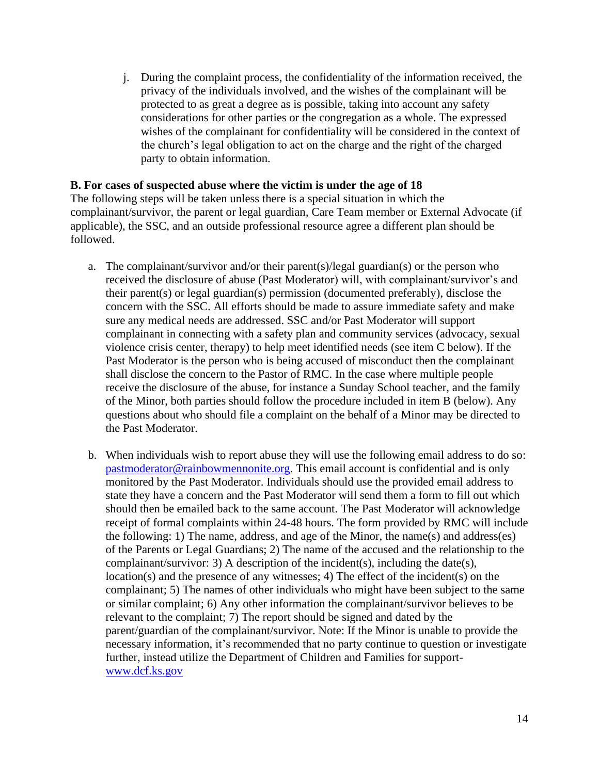j. During the complaint process, the confidentiality of the information received, the privacy of the individuals involved, and the wishes of the complainant will be protected to as great a degree as is possible, taking into account any safety considerations for other parties or the congregation as a whole. The expressed wishes of the complainant for confidentiality will be considered in the context of the church's legal obligation to act on the charge and the right of the charged party to obtain information.

#### **B. For cases of suspected abuse where the victim is under the age of 18**

The following steps will be taken unless there is a special situation in which the complainant/survivor, the parent or legal guardian, Care Team member or External Advocate (if applicable), the SSC, and an outside professional resource agree a different plan should be followed.

- a. The complainant/survivor and/or their parent(s)/legal guardian(s) or the person who received the disclosure of abuse (Past Moderator) will, with complainant/survivor's and their parent(s) or legal guardian(s) permission (documented preferably), disclose the concern with the SSC. All efforts should be made to assure immediate safety and make sure any medical needs are addressed. SSC and/or Past Moderator will support complainant in connecting with a safety plan and community services (advocacy, sexual violence crisis center, therapy) to help meet identified needs (see item C below). If the Past Moderator is the person who is being accused of misconduct then the complainant shall disclose the concern to the Pastor of RMC. In the case where multiple people receive the disclosure of the abuse, for instance a Sunday School teacher, and the family of the Minor, both parties should follow the procedure included in item B (below). Any questions about who should file a complaint on the behalf of a Minor may be directed to the Past Moderator.
- b. When individuals wish to report abuse they will use the following email address to do so: [pastmoderator@rainbowmennonite.org.](mailto:pastmoderator@rainbowmennonite.org) This email account is confidential and is only monitored by the Past Moderator. Individuals should use the provided email address to state they have a concern and the Past Moderator will send them a form to fill out which should then be emailed back to the same account. The Past Moderator will acknowledge receipt of formal complaints within 24-48 hours. The form provided by RMC will include the following: 1) The name, address, and age of the Minor, the name(s) and address(es) of the Parents or Legal Guardians; 2) The name of the accused and the relationship to the complainant/survivor: 3) A description of the incident(s), including the date(s), location(s) and the presence of any witnesses; 4) The effect of the incident(s) on the complainant; 5) The names of other individuals who might have been subject to the same or similar complaint; 6) Any other information the complainant/survivor believes to be relevant to the complaint; 7) The report should be signed and dated by the parent/guardian of the complainant/survivor. Note: If the Minor is unable to provide the necessary information, it's recommended that no party continue to question or investigate further, instead utilize the Department of Children and Families for support[www.dcf.ks.gov](http://www.dcf.ks.gov/)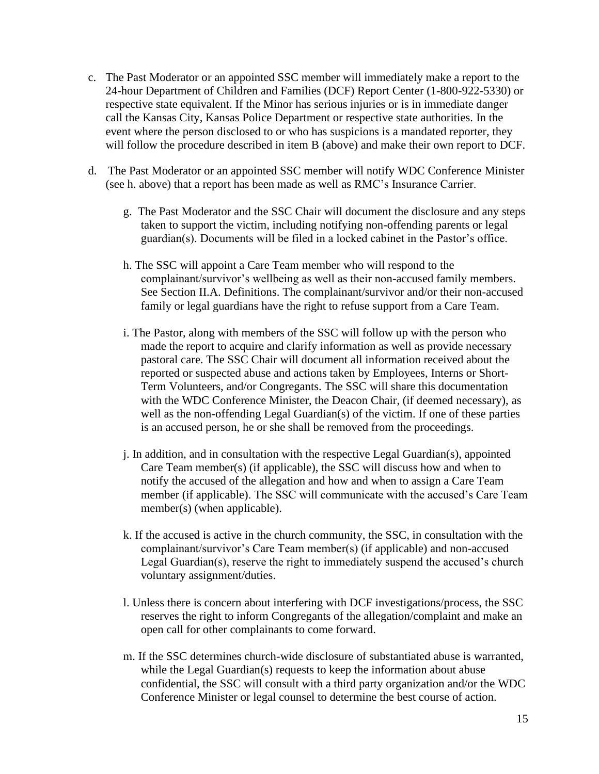- c. The Past Moderator or an appointed SSC member will immediately make a report to the 24-hour Department of Children and Families (DCF) Report Center (1-800-922-5330) or respective state equivalent. If the Minor has serious injuries or is in immediate danger call the Kansas City, Kansas Police Department or respective state authorities. In the event where the person disclosed to or who has suspicions is a mandated reporter, they will follow the procedure described in item B (above) and make their own report to DCF.
- d. The Past Moderator or an appointed SSC member will notify WDC Conference Minister (see h. above) that a report has been made as well as RMC's Insurance Carrier.
	- g. The Past Moderator and the SSC Chair will document the disclosure and any steps taken to support the victim, including notifying non-offending parents or legal guardian(s). Documents will be filed in a locked cabinet in the Pastor's office.
	- h. The SSC will appoint a Care Team member who will respond to the complainant/survivor's wellbeing as well as their non-accused family members. See Section II.A. Definitions. The complainant/survivor and/or their non-accused family or legal guardians have the right to refuse support from a Care Team.
	- i. The Pastor, along with members of the SSC will follow up with the person who made the report to acquire and clarify information as well as provide necessary pastoral care. The SSC Chair will document all information received about the reported or suspected abuse and actions taken by Employees, Interns or Short-Term Volunteers, and/or Congregants. The SSC will share this documentation with the WDC Conference Minister, the Deacon Chair, (if deemed necessary), as well as the non-offending Legal Guardian(s) of the victim. If one of these parties is an accused person, he or she shall be removed from the proceedings.
	- j. In addition, and in consultation with the respective Legal Guardian(s), appointed Care Team member(s) (if applicable), the SSC will discuss how and when to notify the accused of the allegation and how and when to assign a Care Team member (if applicable). The SSC will communicate with the accused's Care Team member(s) (when applicable).
	- k. If the accused is active in the church community, the SSC, in consultation with the complainant/survivor's Care Team member(s) (if applicable) and non-accused Legal Guardian(s), reserve the right to immediately suspend the accused's church voluntary assignment/duties.
	- l. Unless there is concern about interfering with DCF investigations/process, the SSC reserves the right to inform Congregants of the allegation/complaint and make an open call for other complainants to come forward.
	- m. If the SSC determines church-wide disclosure of substantiated abuse is warranted, while the Legal Guardian(s) requests to keep the information about abuse confidential, the SSC will consult with a third party organization and/or the WDC Conference Minister or legal counsel to determine the best course of action.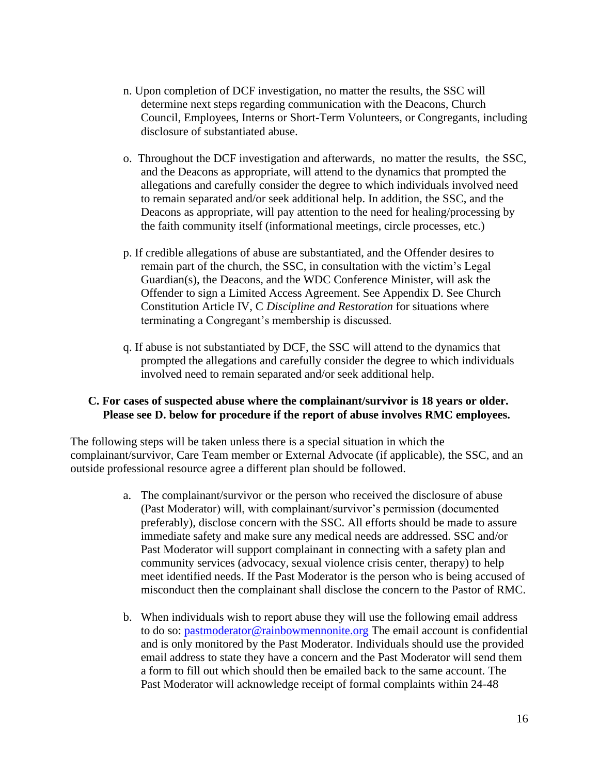- n. Upon completion of DCF investigation, no matter the results, the SSC will determine next steps regarding communication with the Deacons, Church Council, Employees, Interns or Short-Term Volunteers, or Congregants, including disclosure of substantiated abuse.
- o. Throughout the DCF investigation and afterwards, no matter the results, the SSC, and the Deacons as appropriate, will attend to the dynamics that prompted the allegations and carefully consider the degree to which individuals involved need to remain separated and/or seek additional help. In addition, the SSC, and the Deacons as appropriate, will pay attention to the need for healing/processing by the faith community itself (informational meetings, circle processes, etc.)
- p. If credible allegations of abuse are substantiated, and the Offender desires to remain part of the church, the SSC, in consultation with the victim's Legal Guardian(s), the Deacons, and the WDC Conference Minister, will ask the Offender to sign a Limited Access Agreement. See Appendix D. See Church Constitution Article IV, C *Discipline and Restoration* for situations where terminating a Congregant's membership is discussed.
- q. If abuse is not substantiated by DCF, the SSC will attend to the dynamics that prompted the allegations and carefully consider the degree to which individuals involved need to remain separated and/or seek additional help.

#### **C. For cases of suspected abuse where the complainant/survivor is 18 years or older. Please see D. below for procedure if the report of abuse involves RMC employees.**

The following steps will be taken unless there is a special situation in which the complainant/survivor, Care Team member or External Advocate (if applicable), the SSC, and an outside professional resource agree a different plan should be followed.

- a. The complainant/survivor or the person who received the disclosure of abuse (Past Moderator) will, with complainant/survivor's permission (documented preferably), disclose concern with the SSC. All efforts should be made to assure immediate safety and make sure any medical needs are addressed. SSC and/or Past Moderator will support complainant in connecting with a safety plan and community services (advocacy, sexual violence crisis center, therapy) to help meet identified needs. If the Past Moderator is the person who is being accused of misconduct then the complainant shall disclose the concern to the Pastor of RMC.
- b. When individuals wish to report abuse they will use the following email address to do so: [pastmoderator@rainbowmennonite.org](mailto:pastmoderator@rainbowmennonite.org) The email account is confidential and is only monitored by the Past Moderator. Individuals should use the provided email address to state they have a concern and the Past Moderator will send them a form to fill out which should then be emailed back to the same account. The Past Moderator will acknowledge receipt of formal complaints within 24-48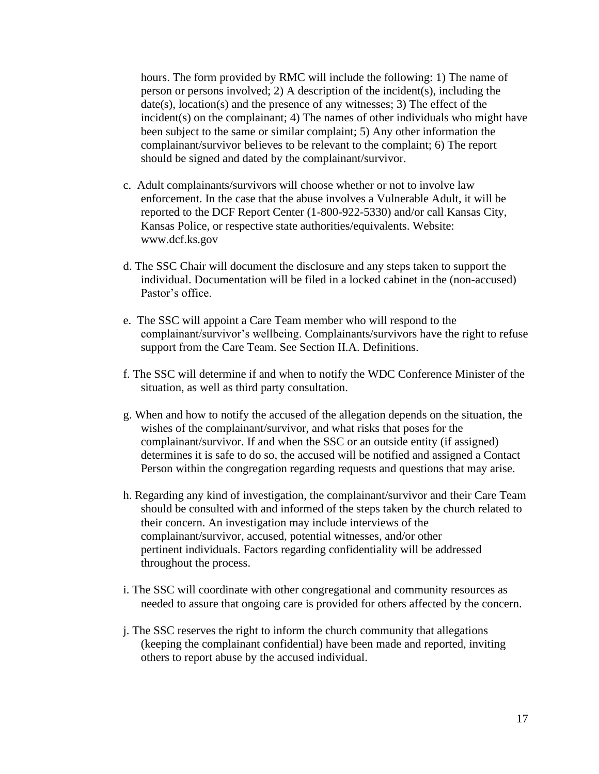hours. The form provided by RMC will include the following: 1) The name of person or persons involved; 2) A description of the incident(s), including the date(s), location(s) and the presence of any witnesses; 3) The effect of the incident(s) on the complainant; 4) The names of other individuals who might have been subject to the same or similar complaint; 5) Any other information the complainant/survivor believes to be relevant to the complaint; 6) The report should be signed and dated by the complainant/survivor.

- c. Adult complainants/survivors will choose whether or not to involve law enforcement. In the case that the abuse involves a Vulnerable Adult, it will be reported to the DCF Report Center (1-800-922-5330) and/or call Kansas City, Kansas Police, or respective state authorities/equivalents. Website: www.dcf.ks.gov
- d. The SSC Chair will document the disclosure and any steps taken to support the individual. Documentation will be filed in a locked cabinet in the (non-accused) Pastor's office.
- e. The SSC will appoint a Care Team member who will respond to the complainant/survivor's wellbeing. Complainants/survivors have the right to refuse support from the Care Team. See Section II.A. Definitions.
- f. The SSC will determine if and when to notify the WDC Conference Minister of the situation, as well as third party consultation.
- g. When and how to notify the accused of the allegation depends on the situation, the wishes of the complainant/survivor, and what risks that poses for the complainant/survivor. If and when the SSC or an outside entity (if assigned) determines it is safe to do so, the accused will be notified and assigned a Contact Person within the congregation regarding requests and questions that may arise.
- h. Regarding any kind of investigation, the complainant/survivor and their Care Team should be consulted with and informed of the steps taken by the church related to their concern. An investigation may include interviews of the complainant/survivor, accused, potential witnesses, and/or other pertinent individuals. Factors regarding confidentiality will be addressed throughout the process.
- i. The SSC will coordinate with other congregational and community resources as needed to assure that ongoing care is provided for others affected by the concern.
- j. The SSC reserves the right to inform the church community that allegations (keeping the complainant confidential) have been made and reported, inviting others to report abuse by the accused individual.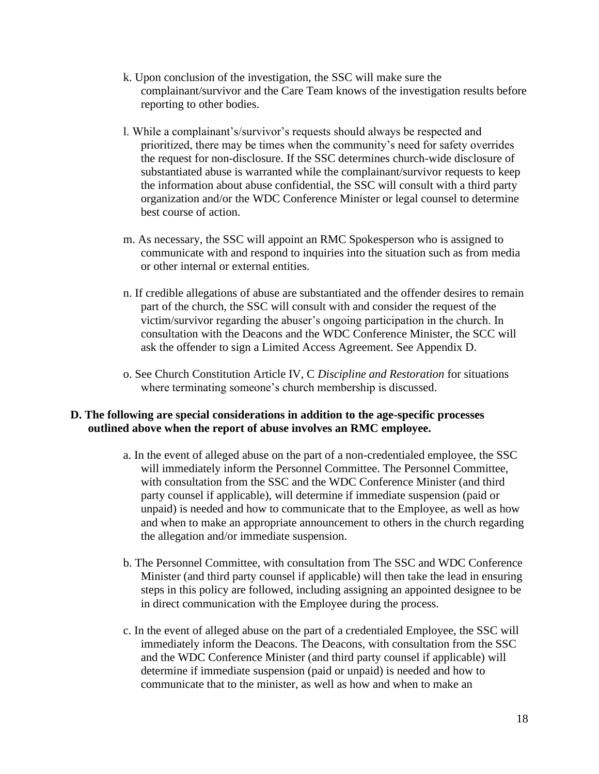- k. Upon conclusion of the investigation, the SSC will make sure the complainant/survivor and the Care Team knows of the investigation results before reporting to other bodies.
- l. While a complainant's/survivor's requests should always be respected and prioritized, there may be times when the community's need for safety overrides the request for non-disclosure. If the SSC determines church-wide disclosure of substantiated abuse is warranted while the complainant/survivor requests to keep the information about abuse confidential, the SSC will consult with a third party organization and/or the WDC Conference Minister or legal counsel to determine best course of action.
- m. As necessary, the SSC will appoint an RMC Spokesperson who is assigned to communicate with and respond to inquiries into the situation such as from media or other internal or external entities.
- n. If credible allegations of abuse are substantiated and the offender desires to remain part of the church, the SSC will consult with and consider the request of the victim/survivor regarding the abuser's ongoing participation in the church. In consultation with the Deacons and the WDC Conference Minister, the SCC will ask the offender to sign a Limited Access Agreement. See Appendix D.
- o. See Church Constitution Article IV, C *Discipline and Restoration* for situations where terminating someone's church membership is discussed.

## **D. The following are special considerations in addition to the age-specific processes outlined above when the report of abuse involves an RMC employee.**

- a. In the event of alleged abuse on the part of a non-credentialed employee, the SSC will immediately inform the Personnel Committee. The Personnel Committee, with consultation from the SSC and the WDC Conference Minister (and third party counsel if applicable), will determine if immediate suspension (paid or unpaid) is needed and how to communicate that to the Employee, as well as how and when to make an appropriate announcement to others in the church regarding the allegation and/or immediate suspension.
- b. The Personnel Committee, with consultation from The SSC and WDC Conference Minister (and third party counsel if applicable) will then take the lead in ensuring steps in this policy are followed, including assigning an appointed designee to be in direct communication with the Employee during the process.
- c. In the event of alleged abuse on the part of a credentialed Employee, the SSC will immediately inform the Deacons. The Deacons, with consultation from the SSC and the WDC Conference Minister (and third party counsel if applicable) will determine if immediate suspension (paid or unpaid) is needed and how to communicate that to the minister, as well as how and when to make an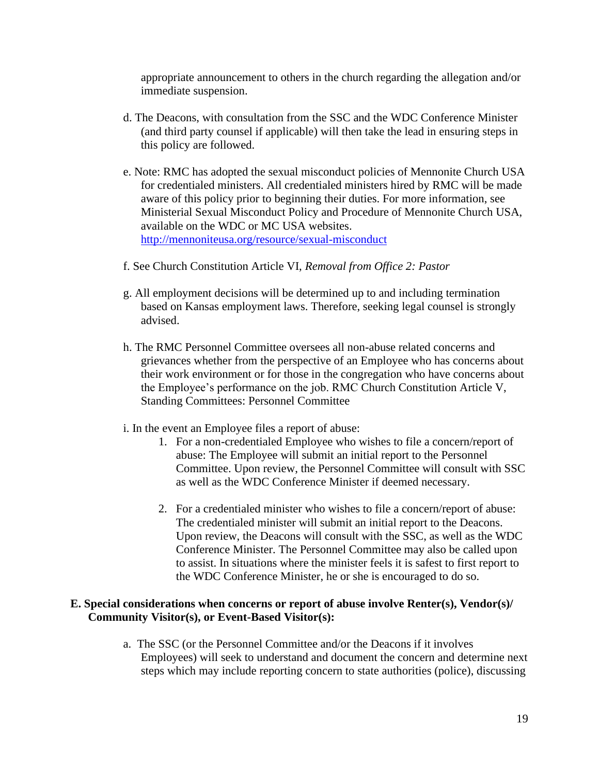appropriate announcement to others in the church regarding the allegation and/or immediate suspension.

- d. The Deacons, with consultation from the SSC and the WDC Conference Minister (and third party counsel if applicable) will then take the lead in ensuring steps in this policy are followed.
- e. Note: RMC has adopted the sexual misconduct policies of Mennonite Church USA for credentialed ministers. All credentialed ministers hired by RMC will be made aware of this policy prior to beginning their duties. For more information, see Ministerial Sexual Misconduct Policy and Procedure of Mennonite Church USA, available on the WDC or MC USA websites. <http://mennoniteusa.org/resource/sexual-misconduct>
- f. See Church Constitution Article VI, *Removal from Office 2: Pastor*
- g. All employment decisions will be determined up to and including termination based on Kansas employment laws. Therefore, seeking legal counsel is strongly advised.
- h. The RMC Personnel Committee oversees all non-abuse related concerns and grievances whether from the perspective of an Employee who has concerns about their work environment or for those in the congregation who have concerns about the Employee's performance on the job. RMC Church Constitution Article V, Standing Committees: Personnel Committee
- i. In the event an Employee files a report of abuse:
	- 1. For a non-credentialed Employee who wishes to file a concern/report of abuse: The Employee will submit an initial report to the Personnel Committee. Upon review, the Personnel Committee will consult with SSC as well as the WDC Conference Minister if deemed necessary.
	- 2. For a credentialed minister who wishes to file a concern/report of abuse: The credentialed minister will submit an initial report to the Deacons. Upon review, the Deacons will consult with the SSC, as well as the WDC Conference Minister. The Personnel Committee may also be called upon to assist. In situations where the minister feels it is safest to first report to the WDC Conference Minister, he or she is encouraged to do so.

#### **E. Special considerations when concerns or report of abuse involve Renter(s), Vendor(s)/ Community Visitor(s), or Event-Based Visitor(s):**

a. The SSC (or the Personnel Committee and/or the Deacons if it involves Employees) will seek to understand and document the concern and determine next steps which may include reporting concern to state authorities (police), discussing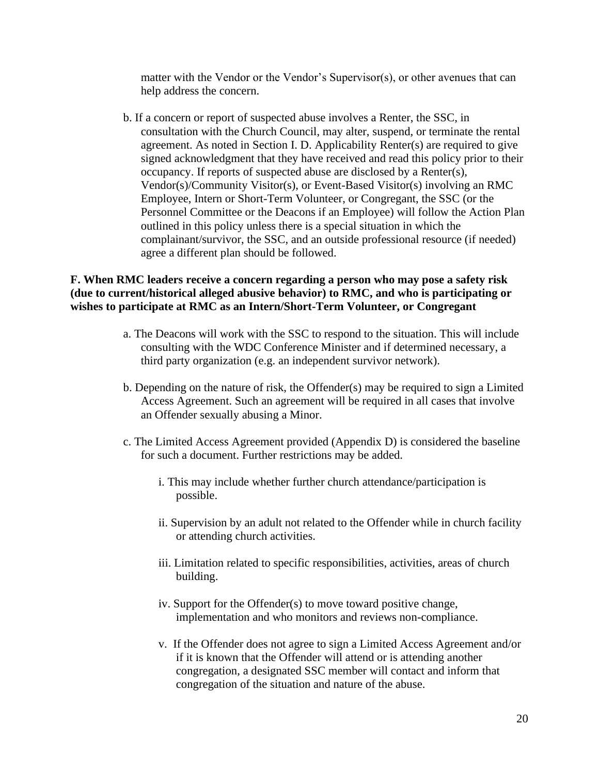matter with the Vendor or the Vendor's Supervisor(s), or other avenues that can help address the concern.

b. If a concern or report of suspected abuse involves a Renter, the SSC, in consultation with the Church Council, may alter, suspend, or terminate the rental agreement. As noted in Section I. D. Applicability Renter(s) are required to give signed acknowledgment that they have received and read this policy prior to their occupancy. If reports of suspected abuse are disclosed by a Renter(s), Vendor(s)/Community Visitor(s), or Event-Based Visitor(s) involving an RMC Employee, Intern or Short-Term Volunteer, or Congregant, the SSC (or the Personnel Committee or the Deacons if an Employee) will follow the Action Plan outlined in this policy unless there is a special situation in which the complainant/survivor, the SSC, and an outside professional resource (if needed) agree a different plan should be followed.

### **F. When RMC leaders receive a concern regarding a person who may pose a safety risk (due to current/historical alleged abusive behavior) to RMC, and who is participating or wishes to participate at RMC as an Intern/Short-Term Volunteer, or Congregant**

- a. The Deacons will work with the SSC to respond to the situation. This will include consulting with the WDC Conference Minister and if determined necessary, a third party organization (e.g. an independent survivor network).
- b. Depending on the nature of risk, the Offender(s) may be required to sign a Limited Access Agreement. Such an agreement will be required in all cases that involve an Offender sexually abusing a Minor.
- c. The Limited Access Agreement provided (Appendix D) is considered the baseline for such a document. Further restrictions may be added.
	- i. This may include whether further church attendance/participation is possible.
	- ii. Supervision by an adult not related to the Offender while in church facility or attending church activities.
	- iii. Limitation related to specific responsibilities, activities, areas of church building.
	- iv. Support for the Offender(s) to move toward positive change, implementation and who monitors and reviews non-compliance.
	- v. If the Offender does not agree to sign a Limited Access Agreement and/or if it is known that the Offender will attend or is attending another congregation, a designated SSC member will contact and inform that congregation of the situation and nature of the abuse.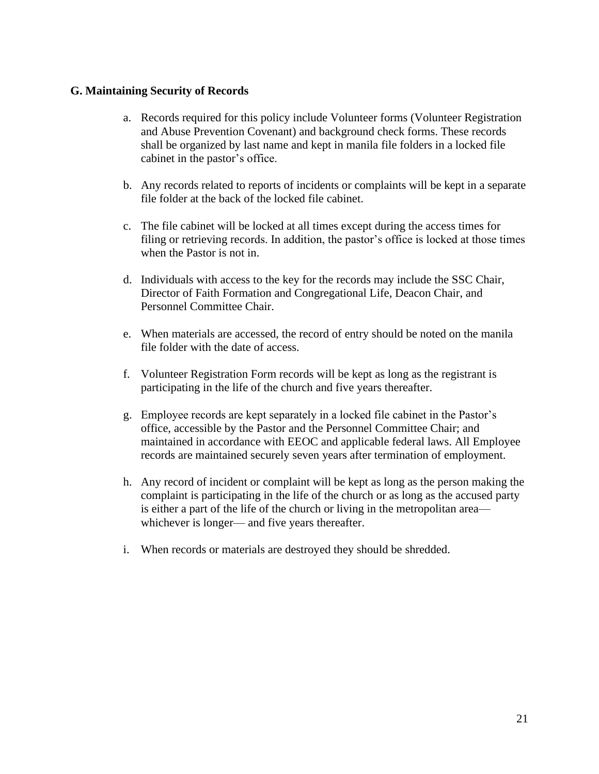#### **G. Maintaining Security of Records**

- a. Records required for this policy include Volunteer forms (Volunteer Registration and Abuse Prevention Covenant) and background check forms. These records shall be organized by last name and kept in manila file folders in a locked file cabinet in the pastor's office.
- b. Any records related to reports of incidents or complaints will be kept in a separate file folder at the back of the locked file cabinet.
- c. The file cabinet will be locked at all times except during the access times for filing or retrieving records. In addition, the pastor's office is locked at those times when the Pastor is not in.
- d. Individuals with access to the key for the records may include the SSC Chair, Director of Faith Formation and Congregational Life, Deacon Chair, and Personnel Committee Chair.
- e. When materials are accessed, the record of entry should be noted on the manila file folder with the date of access.
- f. Volunteer Registration Form records will be kept as long as the registrant is participating in the life of the church and five years thereafter.
- g. Employee records are kept separately in a locked file cabinet in the Pastor's office, accessible by the Pastor and the Personnel Committee Chair; and maintained in accordance with EEOC and applicable federal laws. All Employee records are maintained securely seven years after termination of employment.
- h. Any record of incident or complaint will be kept as long as the person making the complaint is participating in the life of the church or as long as the accused party is either a part of the life of the church or living in the metropolitan area whichever is longer— and five years thereafter.
- i. When records or materials are destroyed they should be shredded.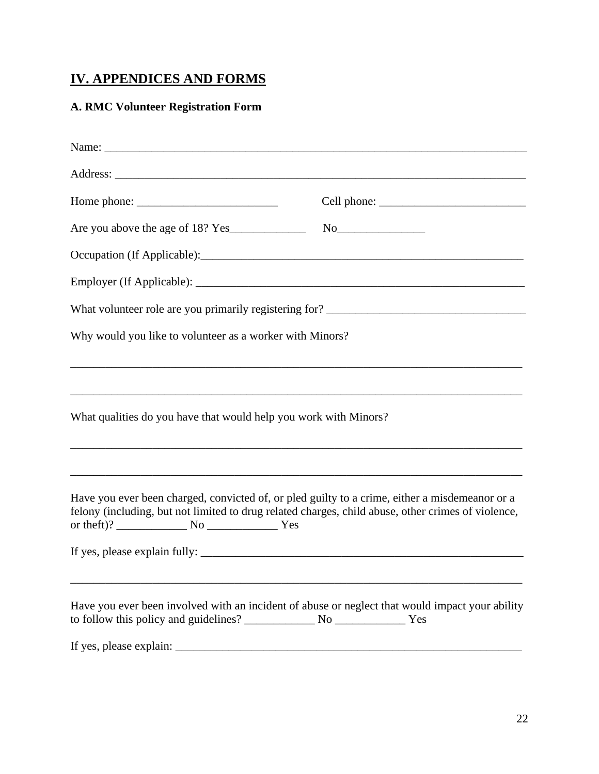# **IV. APPENDICES AND FORMS**

# **A. RMC Volunteer Registration Form**

| Why would you like to volunteer as a worker with Minors?                                                                                                                                             |  |
|------------------------------------------------------------------------------------------------------------------------------------------------------------------------------------------------------|--|
| ,我们也不能在这里的时候,我们也不能在这里的时候,我们也不能会在这里的时候,我们也不能会在这里的时候,我们也不能会在这里的时候,我们也不能会在这里的时候,我们也不<br>What qualities do you have that would help you work with Minors?                                                |  |
| Have you ever been charged, convicted of, or pled guilty to a crime, either a misdemeanor or a<br>felony (including, but not limited to drug related charges, child abuse, other crimes of violence, |  |
| Have you ever been involved with an incident of abuse or neglect that would impact your ability                                                                                                      |  |
|                                                                                                                                                                                                      |  |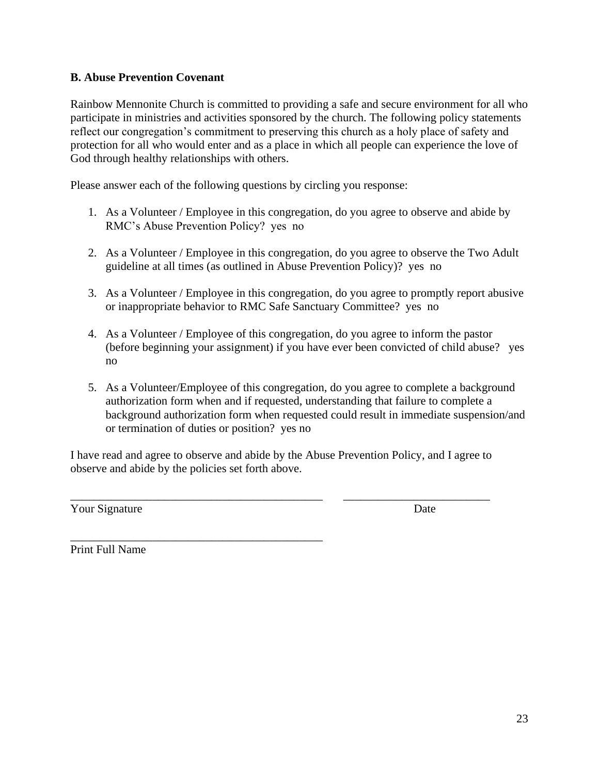# **B. Abuse Prevention Covenant**

Rainbow Mennonite Church is committed to providing a safe and secure environment for all who participate in ministries and activities sponsored by the church. The following policy statements reflect our congregation's commitment to preserving this church as a holy place of safety and protection for all who would enter and as a place in which all people can experience the love of God through healthy relationships with others.

Please answer each of the following questions by circling you response:

- 1. As a Volunteer / Employee in this congregation, do you agree to observe and abide by RMC's Abuse Prevention Policy? yes no
- 2. As a Volunteer / Employee in this congregation, do you agree to observe the Two Adult guideline at all times (as outlined in Abuse Prevention Policy)? yes no
- 3. As a Volunteer / Employee in this congregation, do you agree to promptly report abusive or inappropriate behavior to RMC Safe Sanctuary Committee? yes no
- 4. As a Volunteer / Employee of this congregation, do you agree to inform the pastor (before beginning your assignment) if you have ever been convicted of child abuse? yes no
- 5. As a Volunteer/Employee of this congregation, do you agree to complete a background authorization form when and if requested, understanding that failure to complete a background authorization form when requested could result in immediate suspension/and or termination of duties or position? yes no

I have read and agree to observe and abide by the Abuse Prevention Policy, and I agree to observe and abide by the policies set forth above.

\_\_\_\_\_\_\_\_\_\_\_\_\_\_\_\_\_\_\_\_\_\_\_\_\_\_\_\_\_\_\_\_\_\_\_\_\_\_\_\_\_\_\_ \_\_\_\_\_\_\_\_\_\_\_\_\_\_\_\_\_\_\_\_\_\_\_\_\_

\_\_\_\_\_\_\_\_\_\_\_\_\_\_\_\_\_\_\_\_\_\_\_\_\_\_\_\_\_\_\_\_\_\_\_\_\_\_\_\_\_\_\_

Your Signature Date

Print Full Name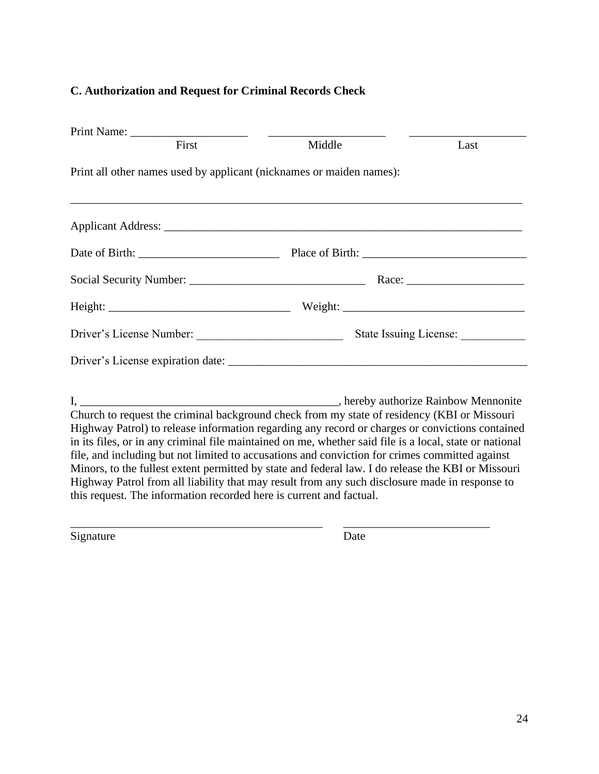### **C. Authorization and Request for Criminal Records Check**

| First                                                                                                                                                                                                                         | Middle | Last |
|-------------------------------------------------------------------------------------------------------------------------------------------------------------------------------------------------------------------------------|--------|------|
| Print all other names used by applicant (nicknames or maiden names):<br>,我们也不能在这里的时候,我们也不能在这里的时候,我们也不能在这里的时候,我们也不能会不能会不能会不能会不能会不能会不能会不能会。<br>第2012章 我们的时候,我们的时候,我们的时候,我们的时候,我们的时候,我们的时候,我们的时候,我们的时候,我们的时候,我们的时候,我们的时候,我们的时候,我 |        |      |
|                                                                                                                                                                                                                               |        |      |
|                                                                                                                                                                                                                               |        |      |
|                                                                                                                                                                                                                               |        |      |
|                                                                                                                                                                                                                               |        |      |
|                                                                                                                                                                                                                               |        |      |
|                                                                                                                                                                                                                               |        |      |
|                                                                                                                                                                                                                               |        |      |
| Church to request the criminal background check from my state of residency (KBI or Missouri<br>Highway Patrol) to release information regarding any record or charges or convictions contained                                |        |      |

in its files, or in any criminal file maintained on me, whether said file is a local, state or national file, and including but not limited to accusations and conviction for crimes committed against Minors, to the fullest extent permitted by state and federal law. I do release the KBI or Missouri Highway Patrol from all liability that may result from any such disclosure made in response to this request. The information recorded here is current and factual.

\_\_\_\_\_\_\_\_\_\_\_\_\_\_\_\_\_\_\_\_\_\_\_\_\_\_\_\_\_\_\_\_\_\_\_\_\_\_\_\_\_\_\_ \_\_\_\_\_\_\_\_\_\_\_\_\_\_\_\_\_\_\_\_\_\_\_\_\_

Signature Date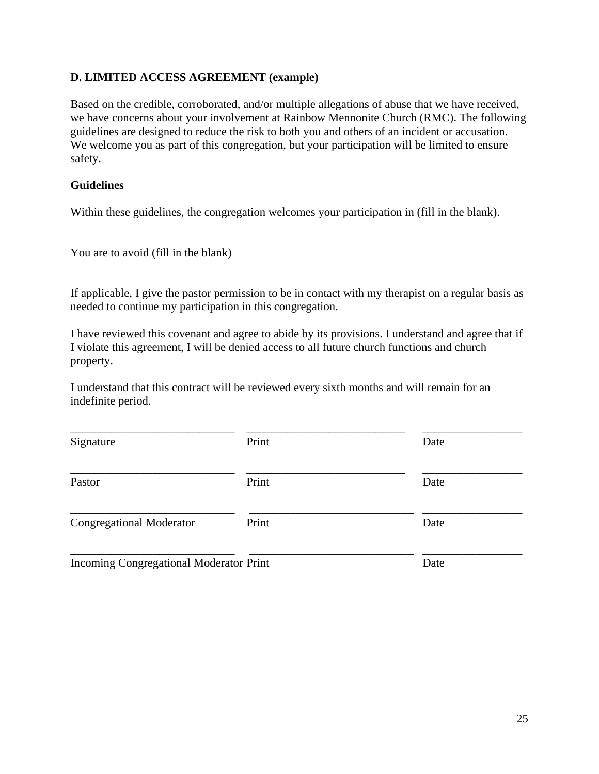# **D. LIMITED ACCESS AGREEMENT (example)**

Based on the credible, corroborated, and/or multiple allegations of abuse that we have received, we have concerns about your involvement at Rainbow Mennonite Church (RMC). The following guidelines are designed to reduce the risk to both you and others of an incident or accusation. We welcome you as part of this congregation, but your participation will be limited to ensure safety.

# **Guidelines**

Within these guidelines, the congregation welcomes your participation in (fill in the blank).

You are to avoid (fill in the blank)

If applicable, I give the pastor permission to be in contact with my therapist on a regular basis as needed to continue my participation in this congregation.

I have reviewed this covenant and agree to abide by its provisions. I understand and agree that if I violate this agreement, I will be denied access to all future church functions and church property.

I understand that this contract will be reviewed every sixth months and will remain for an indefinite period.

| Signature                               | Print | Date |
|-----------------------------------------|-------|------|
| Pastor                                  | Print | Date |
| <b>Congregational Moderator</b>         | Print | Date |
| Incoming Congregational Moderator Print |       | Date |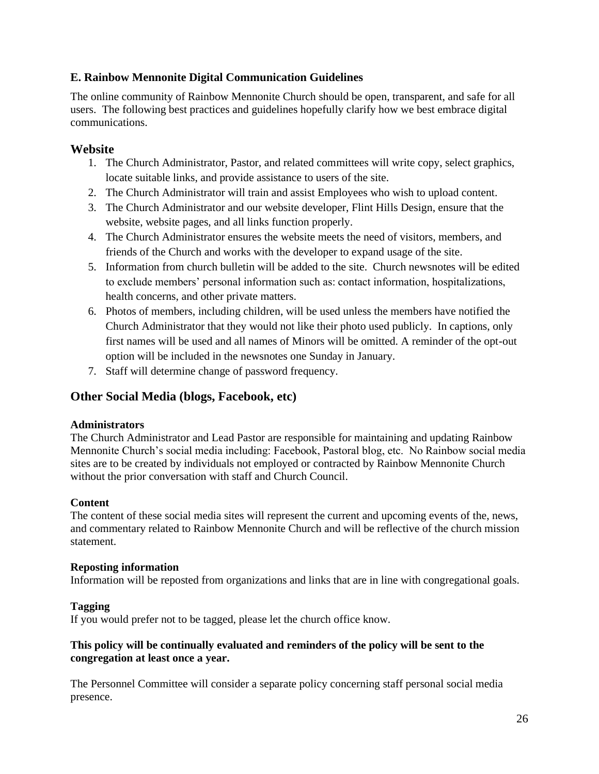# **E. Rainbow Mennonite Digital Communication Guidelines**

The online community of Rainbow Mennonite Church should be open, transparent, and safe for all users. The following best practices and guidelines hopefully clarify how we best embrace digital communications.

## **Website**

- 1. The Church Administrator, Pastor, and related committees will write copy, select graphics, locate suitable links, and provide assistance to users of the site.
- 2. The Church Administrator will train and assist Employees who wish to upload content.
- 3. The Church Administrator and our website developer, Flint Hills Design, ensure that the website, website pages, and all links function properly.
- 4. The Church Administrator ensures the website meets the need of visitors, members, and friends of the Church and works with the developer to expand usage of the site.
- 5. Information from church bulletin will be added to the site. Church newsnotes will be edited to exclude members' personal information such as: contact information, hospitalizations, health concerns, and other private matters.
- 6. Photos of members, including children, will be used unless the members have notified the Church Administrator that they would not like their photo used publicly. In captions, only first names will be used and all names of Minors will be omitted. A reminder of the opt-out option will be included in the newsnotes one Sunday in January.
- 7. Staff will determine change of password frequency.

# **Other Social Media (blogs, Facebook, etc)**

#### **Administrators**

The Church Administrator and Lead Pastor are responsible for maintaining and updating Rainbow Mennonite Church's social media including: Facebook, Pastoral blog, etc. No Rainbow social media sites are to be created by individuals not employed or contracted by Rainbow Mennonite Church without the prior conversation with staff and Church Council.

#### **Content**

The content of these social media sites will represent the current and upcoming events of the, news, and commentary related to Rainbow Mennonite Church and will be reflective of the church mission statement.

#### **Reposting information**

Information will be reposted from organizations and links that are in line with congregational goals.

#### **Tagging**

If you would prefer not to be tagged, please let the church office know.

#### **This policy will be continually evaluated and reminders of the policy will be sent to the congregation at least once a year.**

The Personnel Committee will consider a separate policy concerning staff personal social media presence.